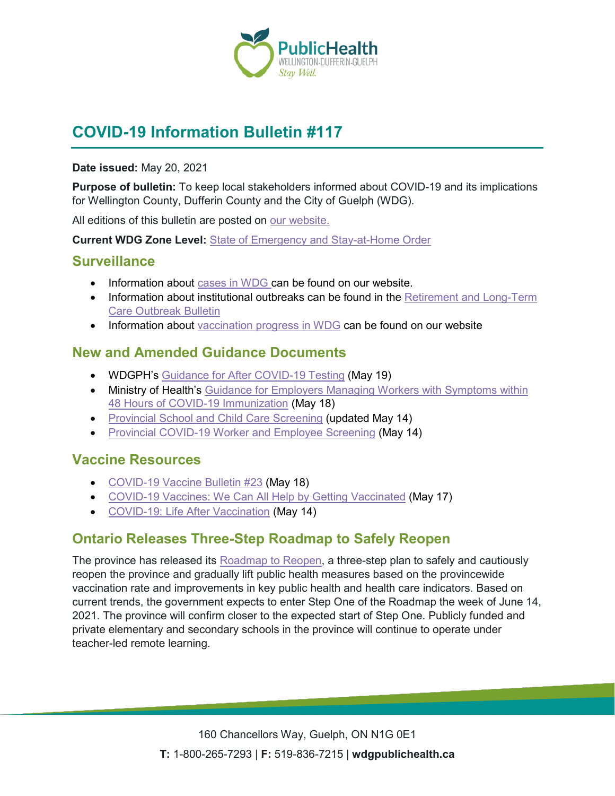

# **COVID-19 Information Bulletin #117**

#### **Date issued:** May 20, 2021

**Purpose of bulletin:** To keep local stakeholders informed about COVID-19 and its implications for Wellington County, Dufferin County and the City of Guelph (WDG).

All editions of this bulletin are posted on [our website.](https://www.wdgpublichealth.ca/your-health/covid-19-information-workplaces-and-living-spaces/community-stakeholder-bulletins)

**Current WDG Zone Level:** [State of Emergency and Stay-at-Home Order](https://www.ontario.ca/page/covid-19-provincewide-shutdown)

#### **Surveillance**

- Information about [cases in WDG](https://wdgpublichealth.ca/your-health/covid-19-information-public/status-cases-wdg) can be found on our website.
- Information about institutional outbreaks can be found in the Retirement and Long-Term [Care Outbreak Bulletin](https://wdgpublichealth.ca/node/1542)
- Information about [vaccination progress](https://www.wdgpublichealth.ca/your-health/covid-19-information-public/covid-19-vaccine-information-public) in WDG can be found on our website

#### **New and Amended Guidance Documents**

- WDGPH's [Guidance for After](https://wdgpublichealth.ca/sites/default/files/wdgph_guidance_for_after_covid_19_testing.pdf) COVID-19 Testing (May 19)
- Ministry of Health's Guidance for Employers Managing Workers with Symptoms within [48 Hours of COVID-19 Immunization](https://www.health.gov.on.ca/en/pro/programs/publichealth/coronavirus/docs/guidance_for_screening_vaccinated_individuals.pdf) (May 18)
- [Provincial School and Child](https://covid-19.ontario.ca/school-screening/) Care Screening (updated May 14)
- [Provincial COVID-19 Worker and Employee Screening](https://covid-19.ontario.ca/screening/worker/) (May 14)

#### **Vaccine Resources**

- [COVID-19 Vaccine Bulletin #23](https://wdgpublichealth.sharepoint.com/sites/IMS-NovelCoronavirus/Shared%20Documents/General/Planning/Document%20Management/Stakeholder%20Bulletin/COVID-19%20Information%20Bulletin/Bulletin%20117/COVID-19%20Information%20Bulletin117_05_20_2021.docx) (May 18)
- [COVID-19 Vaccines: We Can All Help by Getting Vaccinated](https://health.canada.ca/en/public-health/services/video/covid-19-vaccines-help-getting-vaccinated.html) (May 17)
- [COVID-19: Life After Vaccination](https://www.canada.ca/en/public-health/services/diseases/2019-novel-coronavirus-infection/awareness-resources/vaccinated-against-covid-19.html) (May 14)

### **Ontario Releases Three-Step Roadmap to Safely Reopen**

The province has released its [Roadmap to Reopen,](https://files.ontario.ca/solgen_oreg344-21_amend82-20_2021-05-20.pdf) a three-step plan to safely and cautiously reopen the province and gradually lift public health measures based on the provincewide vaccination rate and improvements in key public health and health care indicators. Based on current trends, the government expects to enter Step One of the Roadmap the week of June 14, 2021. The province will confirm closer to the expected start of Step One. Publicly funded and private elementary and secondary schools in the province will continue to operate under teacher-led remote learning.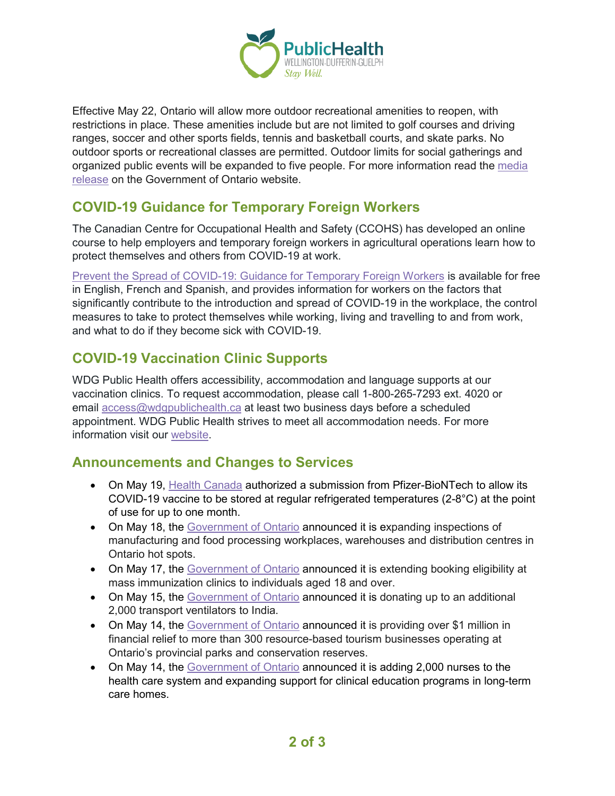

Effective May 22, Ontario will allow more outdoor recreational amenities to reopen, with restrictions in place. These amenities include but are not limited to golf courses and driving ranges, soccer and other sports fields, tennis and basketball courts, and skate parks. No outdoor sports or recreational classes are permitted. Outdoor limits for social gatherings and organized public events will be expanded to five people. For more information read the media [release](https://news.ontario.ca/en/release/1000161/ontario-releases-three-step-roadmap-to-safely-reopen-the-province) on the Government of Ontario website.

### **COVID-19 Guidance for Temporary Foreign Workers**

The Canadian Centre for Occupational Health and Safety (CCOHS) has developed an online course to help employers and temporary foreign workers in agricultural operations learn how to protect themselves and others from COVID-19 at work.

[Prevent the Spread of COVID-19: Guidance for Temporary Foreign Workers](https://www.ccohs.ca/products/courses/tfw-covid/) is available for free in English, French and Spanish, and provides information for workers on the factors that significantly contribute to the introduction and spread of COVID-19 in the workplace, the control measures to take to protect themselves while working, living and travelling to and from work, and what to do if they become sick with COVID-19.

### **COVID-19 Vaccination Clinic Supports**

WDG Public Health offers accessibility, accommodation and language supports at our vaccination clinics. To request accommodation, please call 1-800-265-7293 ext. 4020 or email [access@wdgpublichealth.ca](mailto:access@wdgpublichealth.ca?subject=Accessibility%2C%20accomodation%20or%20language%20support%20request%20for%20vaccination%20appointment) at least two business days before a scheduled appointment. WDG Public Health strives to meet all accommodation needs. For more information visit our [website.](https://www.wdgpublichealth.ca/your-health/covid-19-information-public/covid-19-vaccine-information/accessibility-accommodation-and)

#### **Announcements and Changes to Services**

- On May 19, [Health Canada](https://www.canada.ca/en/health-canada/news/2021/05/health-canada-authorizes-more-flexible-storage-conditions-for-pfizer-biontech-covid-19-vaccine.html) authorized a submission from Pfizer-BioNTech to allow its COVID-19 vaccine to be stored at regular refrigerated temperatures (2-8°C) at the point of use for up to one month.
- On May 18, the [Government of Ontario](https://news.ontario.ca/en/release/1000152/ontario-carrying-out-more-inspections-at-workplaces-in-hot-spot-regions) announced it is expanding inspections of manufacturing and food processing workplaces, warehouses and distribution centres in Ontario hot spots.
- On May 17, the [Government of Ontario](https://news.ontario.ca/en/release/1000143/covid-19-vaccine-booking-expanding-to-ontarians-18-ahead-of-schedule) announced it is extending booking eligibility at mass immunization clinics to individuals aged 18 and over.
- On May 15, the [Government of Ontario](https://news.ontario.ca/en/statement/1000140/ontario-donating-an-additional-2000-ventilators-to-support-covid-19-response-in-india) announced it is donating up to an additional 2,000 transport ventilators to India.
- On May 14, the [Government of Ontario](https://news.ontario.ca/en/release/1000128/ontario-providing-more-relief-for-tourism-industry) announced it is providing over \$1 million in financial relief to more than 300 resource-based tourism businesses operating at Ontario's provincial parks and conservation reserves.
- On May 14, the [Government of Ontario](https://news.ontario.ca/en/release/1000132/ontario-adding-2000-nurses-to-the-health-care-system) announced it is adding 2,000 nurses to the health care system and expanding support for clinical education programs in long-term care homes.